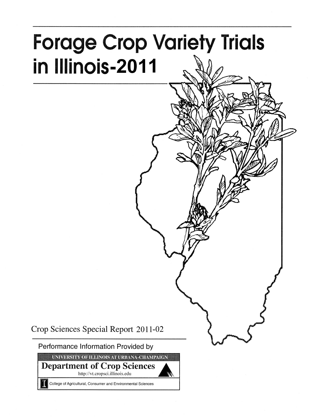# **Forage Crop Variety Trials** in Illinois-2011

Crop Sciences Special Report 2011-02

Performance Information Provided by

UNIVERSITY OF ILLINOIS AT URBANA-CHAMPAIGN

**Department of Crop Sciences** http://vt.cropsci.illinois.edu

College of Agricultural, Consumer and Environmental Sciences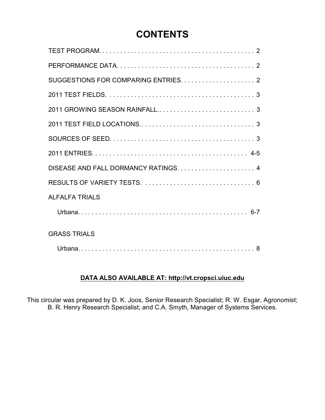## **CONTENTS**

| <b>ALFALFA TRIALS</b> |
|-----------------------|
|                       |
| <b>GRASS TRIALS</b>   |
|                       |

## **DATA ALSO AVAILABLE AT: http://vt.cropsci.uiuc.edu**

This circular was prepared by D. K. Joos, Senior Research Specialist; R. W. Esgar, Agronomist; B. R. Henry Research Specialist; and C.A. Smyth, Manager of Systems Services.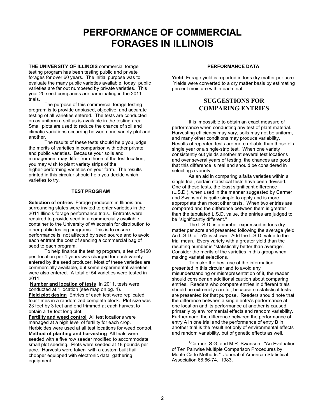## **PERFORMANCE OF COMMERCIAL FORAGES IN ILLINOIS**

**THE UNIVERSITY OF ILLINOIS** commercial forage testing program has been testing public and private forages for over 60 years. The initial purpose was to evaluate the many public varieties available, today public varieties are far out numbered by private varieties. This year 20 seed companies are participating in the 2011 trials.

The purpose of this commercial forage testing program is to provide unbiased, objective, and accurate testing of all varieties entered. The tests are conducted on as uniform a soil as is available in the testing area. Small plots are used to reduce the chance of soil and climatic variations occurring between one variety plot and another.

The results of these tests should help you judge the merits of varieties in comparison with other private and public varieties. Because your soils and management may differ from those of the test location, you may wish to plant variety strips of the higher-performing varieties on your farm. The results printed in this circular should help you decide which varieties to try.

#### **TEST PROGRAM**

**Selection of entries** Forage producers in Illinois and surrounding states were invited to enter varieties in the 2011 Illinois forage performance trials. Entrants were required to provide seed in a commercially available container to the University of Wisconsin for distribution to other public testing programs. This is to ensure performance is not affected by seed source and to avoid each entrant the cost of sending a commercial bag of seed to each program.

To help finance the testing program, a fee of \$450 per location per 4 years was charged for each variety entered by the seed producer. Most of these varieties are commercially available, but some experimental varieties were also entered. A total of 54 varieties were tested in 2011.

**Number and location of tests** In 2011, tests were conducted at 1 location (see map on pg. 4). **Field plot design** Entries of each test were replicated four times in a randomized complete block. Plot size was 23 feet by 3 feet and end trimmed at each harvest to obtain a 19 foot long plot.

**Fertility and weed control** All test locations were managed at a high level of fertility for each crop. Herbicides were used at all test locations for weed control. **Method of planting and harvesting** All trials were seeded with a five row seeder modified to accommodate small plot seeding. Plots were seeded at 18 pounds per acre. Harvests were taken with a custom built flail chopper equipped with electronic data gathering equipment.

#### **PERFORMANCE DATA**

**Yield** Forage yield is reported in tons dry matter per acre. Yields were converted to a dry matter basis by estimating percent moisture within each trial.

#### **SUGGESTIONS FOR COMPARING ENTRIES**

It is impossible to obtain an exact measure of performance when conducting any test of plant material. Harvesting efficiency may vary, soils may not be uniform, and many other conditions may produce variability. Results of repeated tests are more reliable than those of a single year or a single-strip test. When one variety consistently out yields another at several test locations and over several years of testing, the chances are good that this difference is real and should be considered in selecting a variety.

As an aid in comparing alfalfa varieties within a single trial, certain statistical tests have been devised. One of these tests, the least significant difference (L.S.D.), when used in the manner suggested by Carmer and Swanson<sup>1</sup> is quite simple to apply and is more appropriate than most other tests. When two entries are compared and the difference between them is greater than the tabulated L.S.D. value, the entries are judged to be "significantly different."

The L.S.D. is a number expressed in tons dry matter per acre and presented following the average yield. An L.S.D. of 5% is shown. Add the L.S.D. value to the trial mean. Every variety with a greater yield than the resulting number is "statistically better than average". Consider the merits of the varieties in this group when making varietal selections.

To make the best use of the information presented in this circular and to avoid any misunderstanding or misrepresentation of it, the reader should consider an additional caution about comparing entries. Readers who compare entries in different trials should be extremely careful, because no statistical tests are presented for that purpose. Readers should note that the difference between a single entry's performance at one location and its performance at another is caused primarily by environmental effects and random variability. Furthermore, the difference between the performance of entry A in one trial and the performance of entry B in another trial is the result not only of environmental effects and random variability, but of genetic effects as well.

<sup>1</sup>Carmer, S.G. and M.R. Swanson. "An Evaluation of Ten Pairwise Multiple Comparison Procedures by Monte Carlo Methods." Journal of American Statistical Association 68:66-74. 1983.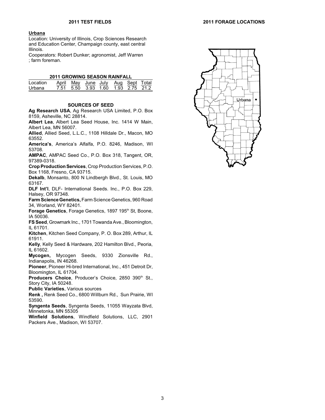#### **Urbana**

Location: University of Illinois, Crop Sciences Research and Education Center, Champaign county, east central Illinois.

Cooperators: Robert Dunker; agronomist, Jeff Warren ; farm foreman.

#### **2011 GROWING SEASON RAINFALL**

| Location |  | April May June July Aug Sept Total |  |  |
|----------|--|------------------------------------|--|--|
| Urbana   |  | 7.51 5.50 3.93 1.60 1.93 2.75 21.2 |  |  |

#### **SOURCES OF SEED**

**Ag Research USA**, Ag Research USA Limited, P.O. Box 8159, Asheville, NC 28814.

**Albert Lea**, Albert Lea Seed House, Inc. 1414 W Main, Albert Lea, MN 56007.

**Allied**, Allied Seed, L.L.C., 1108 Hilldale Dr., Macon, MO 63552.

**America's**, America's Alfalfa, P.O. 8246, Madison, WI 53708.

**AMPAC**, AMPAC Seed Co., P.O. Box 318, Tangent, OR, 97389-0318.

**Crop Production Services**, Crop Production Services, P.O. Box 1168, Fresno, CA 93715.

**Dekalb**, Monsanto, 800 N Lindbergh Blvd., St. Louis, MO 63167.

**DLF Int'l**, DLF- International Seeds. Inc., P.O. Box 229, Halsey, OR 97348.

**Farm ScienceGenetics,**Farm Science Genetics, 960 Road 34, Worland, WY 82401.

**Forage Genetics**, Forage Genetics, 1897 195<sup>th</sup> St, Boone, IA 50036.

**FS Seed**, Growmark Inc., 1701 Towanda Ave., Bloomington, IL 61701.

**Kitchen**, Kitchen Seed Company, P. O. Box 289, Arthur, IL 61911.

**Kelly**, Kelly Seed & Hardware, 202 Hamilton Blvd., Peoria, IL 61602.

**Mycogen,** Mycogen Seeds, 9330 Zionsville Rd., Indianapolis, IN 46268.

**Pioneer**, Pioneer Hi-bred International, Inc., 451 Detroit Dr, Bloomington, IL 61704.

**Producers Choice, Producer's Choice, 2850 390<sup>th</sup> St.,** Story City, IA 50248.

**Public Varieties**, Various sources

**Renk ,** Renk Seed Co., 6800 Willburn Rd., Sun Prairie, WI 53590.

**Syngenta Seeds**, Syngenta Seeds, 11055 Wayzata Blvd, Minnetonka, MN 55305

**Winfield Solutions**, Windfield Solutions, LLC, 2901 Packers Ave., Madison, WI 53707.

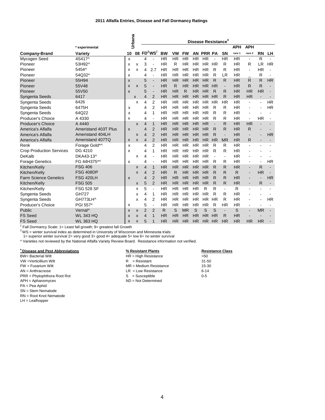#### **2011 Alfalfa Entries, Disease and Fall Dormancy Ratings**

|                                 |                                                                        |    | Urbana | Disease Resistance <sup>4</sup> |                          |           |           |           |           |                |                          |                          |              |                          |                          |                |
|---------------------------------|------------------------------------------------------------------------|----|--------|---------------------------------|--------------------------|-----------|-----------|-----------|-----------|----------------|--------------------------|--------------------------|--------------|--------------------------|--------------------------|----------------|
|                                 | * experimental                                                         |    |        |                                 |                          |           |           |           |           |                |                          |                          | <b>APH</b>   | <b>APH</b>               |                          |                |
| <b>Company-Brand</b>            | Variety                                                                | 10 |        |                                 | 08 $FD^2WS^3$            | <b>BW</b> | <b>VW</b> | <b>FW</b> | <b>AN</b> | <b>PRR PA</b>  |                          | <b>SN</b>                | race 1       | race 2                   | <b>RN</b>                | LН             |
| Mycogen Seed                    | 4S417^                                                                 | X  |        | 4                               |                          | <b>HR</b> | <b>HR</b> | <b>HR</b> | <b>HR</b> | HR             | $\overline{\phantom{a}}$ | <b>HR</b>                | <b>HR</b>    | $\blacksquare$           | $\mathsf{R}$             |                |
| Pioneer                         | 53H92^                                                                 | x  | x      | 3                               |                          | <b>HR</b> | R         | <b>HR</b> | <b>HR</b> | HR.            | <b>HR</b>                | R                        | <b>HR</b>    | R                        | LR.                      | <b>HR</b>      |
| Pioneer                         | 5454^                                                                  | x  | x      | 4                               | 2.7                      | <b>HR</b> | <b>HR</b> | HR        | <b>HR</b> | <b>HR</b>      | R                        | R                        | <b>HR</b>    | $\overline{\phantom{a}}$ | <b>HR</b>                | $\blacksquare$ |
| Pioneer                         | 54Q32*                                                                 | X  |        | 4                               | $\overline{\phantom{a}}$ | <b>HR</b> | <b>HR</b> | HR        | <b>HR</b> | <b>HR</b>      | R                        | LR                       | <b>HR</b>    |                          | R                        |                |
| Pioneer                         | 55H94                                                                  | X  |        | 5                               | $\overline{\phantom{a}}$ | <b>HR</b> | <b>HR</b> | HR        | <b>HR</b> | <b>HR</b>      | R                        | R                        | <b>HR</b>    | R                        | R                        | <b>HR</b>      |
| Pioneer                         | 55V48                                                                  | X  | X      | 5                               | $\blacksquare$           | <b>HR</b> | R         | <b>HR</b> | HR        | <b>HR</b>      | HR                       | $\overline{\phantom{a}}$ | <b>HR</b>    | R                        | R                        |                |
| Pioneer                         | 55V50                                                                  | X  |        | 5                               | $\blacksquare$           | <b>HR</b> | <b>HR</b> | R         | <b>HR</b> | <b>HR</b>      | R                        | R                        | <b>HR</b>    | <b>HR</b>                | <b>HR</b>                |                |
| Syngenta Seeds                  | 6417                                                                   |    | X      | 4                               | $\overline{2}$           | <b>HR</b> | <b>HR</b> | <b>HR</b> | <b>HR</b> | H <sub>R</sub> | HR                       | R                        | <b>HR</b>    | <b>HR</b>                | $\overline{\phantom{a}}$ |                |
| Syngenta Seeds                  | 6426                                                                   |    | x      | 4                               | 2                        | <b>HR</b> | <b>HR</b> | <b>HR</b> | ΗR        | <b>HR</b>      | <b>HR</b>                | <b>HR</b>                | <b>HR</b>    | $\overline{\phantom{a}}$ | $\overline{\phantom{a}}$ | <b>HR</b>      |
| Syngenta Seeds                  | 6475H                                                                  | x  |        | 4                               | $\overline{2}$           | <b>HR</b> | <b>HR</b> | <b>HR</b> | <b>HR</b> | <b>HR</b>      | R                        | R                        | <b>HR</b>    |                          |                          | <b>HR</b>      |
| Syngenta Seeds                  | 64Q22                                                                  | x  |        | 4                               | 1                        | <b>HR</b> | <b>HR</b> | <b>HR</b> | <b>HR</b> | <b>HR</b>      | R                        | R                        | <b>HR</b>    |                          |                          |                |
| Producer's Choice               | A 4330                                                                 | X  |        | 4                               | J.                       | <b>HR</b> | <b>HR</b> | <b>HR</b> | <b>HR</b> | <b>HR</b>      | R                        | R                        | <b>HR</b>    |                          | <b>HR</b>                |                |
| <b>Producer's Choice</b>        | A 4440                                                                 |    | X      | $\overline{4}$                  | $\mathbf{1}$             | <b>HR</b> | <b>HR</b> | <b>HR</b> | <b>HR</b> | <b>HR</b>      |                          | R                        | <b>HR</b>    | <b>HR</b>                |                          |                |
| America's Alfalfa               | Ameristand 403T Plus                                                   | X  |        | 4                               | $\overline{2}$           | <b>HR</b> | <b>HR</b> | <b>HR</b> | <b>HR</b> | <b>HR</b>      | R                        | R                        | <b>HR</b>    | R                        |                          |                |
| America's Alfalfa               | Ameristand 404LH                                                       |    | X      | 4                               | $\overline{2}$           | <b>HR</b> | <b>HR</b> | <b>HR</b> | <b>HR</b> | <b>HR</b>      | R                        | $\overline{\phantom{a}}$ | <b>HR</b>    | $\blacksquare$           |                          | <b>HR</b>      |
| America's Alfalfa               | Ameristand 407TQ                                                       | X  | X      | 4                               | $\overline{2}$           | <b>HR</b> | <b>HR</b> | <b>HR</b> | <b>HR</b> | <b>HR</b>      | <b>HR</b>                | <b>MR</b>                | <b>HR</b>    | R                        | $\overline{\phantom{a}}$ | $\blacksquare$ |
| Renk                            | Forage Gold*^                                                          | x  |        | 4                               | $\overline{2}$           | <b>HR</b> | <b>HR</b> | <b>HR</b> | <b>HR</b> | <b>HR</b>      | R                        | R                        | <b>HR</b>    | $\overline{\phantom{a}}$ |                          |                |
| <b>Crop Production Services</b> | DG 4210                                                                | x  |        | 4                               | 1                        | <b>HR</b> | <b>HR</b> | <b>HR</b> | <b>HR</b> | <b>HR</b>      | R                        | R                        | <b>HR</b>    |                          |                          |                |
| DeKalb                          | DKA43-13^                                                              |    | x      | 4                               | J.                       | <b>HR</b> | <b>HR</b> | <b>HR</b> | <b>HR</b> | <b>HR</b>      |                          | $\overline{a}$           | <b>HR</b>    |                          |                          |                |
| <b>Forage Genetics</b>          | FG 44H375*^                                                            | X  |        | 4                               | $\overline{a}$           | <b>HR</b> | <b>HR</b> | <b>HR</b> | <b>HR</b> | <b>HR</b>      | R                        | R                        | <b>HR</b>    | $\blacksquare$           | $\blacksquare$           | <b>HR</b>      |
| Kitchen/Kelly                   | <b>FSG 406</b>                                                         |    | X      | 4                               | $\mathbf{1}$             | HR        | <b>HR</b> | <b>HR</b> | <b>HR</b> | <b>HR</b>      | R                        | R                        | <b>HR</b>    |                          | $\mathsf{R}$             | $\blacksquare$ |
| Kitchen/Kelly                   | <b>FSG 408DP</b>                                                       |    | X      | 4                               | $\overline{2}$           | <b>HR</b> | R         | <b>HR</b> | <b>HR</b> | <b>HR</b>      | R                        | R                        | $\mathsf{R}$ |                          | <b>HR</b>                |                |
| <b>Farm Science Genetics</b>    | <b>FSG 420LH</b>                                                       | X  |        | 4                               | $\overline{2}$           | <b>HR</b> | <b>HR</b> | <b>HR</b> | <b>HR</b> | HR             | R                        | R                        | <b>HR</b>    |                          | $\overline{\phantom{a}}$ | <b>HR</b>      |
| Kitchen/Kelly                   | <b>FSG 505</b>                                                         |    | X      | 5                               | $\overline{2}$           | <b>HR</b> | <b>HR</b> | HR        | <b>HR</b> | <b>HR</b>      | R                        | R                        | <b>HR</b>    |                          | R                        |                |
| Kitchen/Kelly                   | <b>FSG 528 SF</b>                                                      |    | x      | 5                               | $\blacksquare$           | <b>HR</b> | <b>HR</b> | <b>HR</b> | <b>HR</b> | R              | R                        | $\blacksquare$           | R            |                          |                          |                |
| Syngenta Seeds                  | <b>GH727</b>                                                           |    | x      | 4                               | 1                        | <b>HR</b> | <b>HR</b> | <b>HR</b> | HR.       | <b>HR</b>      | R                        | R                        | <b>HR</b>    |                          |                          |                |
| Syngenta Seeds                  | GH773LH^                                                               |    | x      | 4                               | $\overline{2}$           | <b>HR</b> | <b>HR</b> | <b>HR</b> | <b>HR</b> | <b>HR</b>      | HR                       | R                        | <b>HR</b>    |                          |                          | <b>HR</b>      |
| Producer's Choice               | PGI 557*                                                               | x  |        | 5                               | $\blacksquare$           | <b>HR</b> | <b>HR</b> | <b>HR</b> | <b>HR</b> | <b>HR</b>      | R                        | <b>HR</b>                | <b>HR</b>    | $\blacksquare$           | ÷                        |                |
| Public                          | Vernal <sup>^</sup>                                                    | X  | X      | $\overline{2}$                  | $\overline{2}$           | R         | S         | <b>MR</b> | S         | S              | S                        | $\overline{\phantom{a}}$ | S            |                          | <b>MR</b>                |                |
| <b>FS Seed</b>                  | <b>WL 343 HQ</b>                                                       | X  | X      | 4                               | 1                        | <b>HR</b> | <b>HR</b> | <b>HR</b> | <b>HR</b> | <b>HR</b>      | HR                       | R                        | <b>HR</b>    |                          |                          |                |
| <b>FS Seed</b>                  | <b>WL 363 HQ</b>                                                       | X  | X      | 5                               | 1                        | <b>HR</b> | <b>HR</b> | <b>HR</b> | <b>HR</b> | <b>HR</b>      | HR                       | <b>HR</b>                | <b>HR</b>    | <b>HR</b>                | <b>HR</b>                |                |
|                                 | $2$ Fall Dormancy Scale: 1= Least fall growth; 9= greatest fall Growth |    |        |                                 |                          |           |           |           |           |                |                          |                          |              |                          |                          |                |

<sup>3</sup>WS = winter survival index as determined in University of Wisconsin and Minnesota trials:

1= superior winter survival 2= very good 3= good 4= adequate 5= low 6= no winter survival

^ Varieties not reviewed by the National Alfalfa Variety Review Board. Resistance information not verified.

SN = Stem Nematode RN = Root Knot Nematode LH = Leafhopper

| <sup>4</sup> Disease and Pest Abbreviations | % Resistant Plants       | <b>Resistance Class</b> |
|---------------------------------------------|--------------------------|-------------------------|
| <b>BW</b> = Bacterial Wilt                  | $HR = High Resistance$   | >50                     |
| VW =Verticillium Wilt                       | $R =$ Resistant          | $31 - 50$               |
| FW = Fusarium Wilt                          | $MR = Medium Resistance$ | $15 - 30$               |
| $AN = Anthracnose$                          | $LR = Low Resistance$    | $6 - 14$                |
| $PRR = Phytophthora Root Rot$               | $S =$ Susceptible        | $0 - 5$                 |
| $APH =$ Aphanomyces                         | $ND = Not Determined$    |                         |
| PA = Pea Aphid                              |                          |                         |

4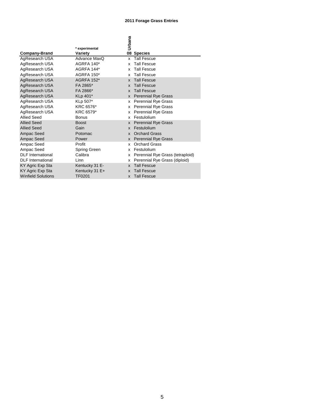#### **2011 Forage Grass Entries**

|                           |                   | Urbana                                 |
|---------------------------|-------------------|----------------------------------------|
|                           | * experimental    |                                        |
| <b>Company-Brand</b>      | Variety           | 08 Species                             |
| AgResearch USA            | Advance MaxQ      | <b>Tall Fescue</b><br>x                |
| AgResearch USA            | AGRFA 140*        | <b>Tall Fescue</b><br>x                |
| AgResearch USA            | AGRFA 144*        | <b>Tall Fescue</b><br>x                |
| AgResearch USA            | <b>AGRFA 150*</b> | <b>Tall Fescue</b><br>x                |
| AgResearch USA            | AGRFA 152*        | <b>Tall Fescue</b><br>X                |
| AgResearch USA            | FA 2865*          | <b>Tall Fescue</b><br>X                |
| AgResearch USA            | FA 2866*          | <b>Tall Fescue</b><br>$\mathbf{x}$     |
| AgResearch USA            | KLp 401*          | <b>Perennial Rye Grass</b><br>X        |
| AgResearch USA            | KLp 507*          | <b>Perennial Rye Grass</b><br>x        |
| AgResearch USA            | KRC 6576*         | <b>Perennial Rye Grass</b><br>x        |
| AgResearch USA            | KRC 6579*         | <b>Perennial Rye Grass</b><br>x        |
| <b>Allied Seed</b>        | <b>Bonus</b>      | Festulolium<br>x                       |
| <b>Allied Seed</b>        | <b>Boost</b>      | <b>Perennial Rye Grass</b><br>X        |
| <b>Allied Seed</b>        | Gain              | Festulolium<br>X                       |
| Ampac Seed                | Potomac           | <b>Orchard Grass</b><br><b>X</b>       |
| Ampac Seed                | Power             | <b>Perennial Rye Grass</b><br><b>X</b> |
| Ampac Seed                | Profit            | <b>Orchard Grass</b><br>x              |
| Ampac Seed                | Spring Green      | Festulolium<br>x                       |
| <b>DLF</b> International  | Calibra           | Perennial Rye Grass (tetraploid)<br>x  |
| <b>DLF</b> International  | Linn              | Perennial Rye Grass (diploid)<br>x     |
| KY Agric Exp Sta          | Kentucky 31 E-    | <b>Tall Fescue</b><br>X                |
| KY Agric Exp Sta          | Kentucky 31 E+    | <b>Tall Fescue</b><br>X                |
| <b>Winfield Solutions</b> | TF0201            | <b>Tall Fescue</b><br>X                |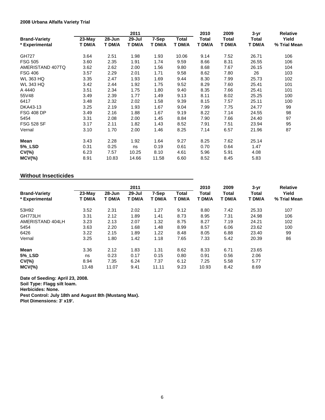#### **2008 Urbana Alfalfa Variety Trial**

|                      |        |        | 2011   |        |        | 2010   | 2009   | $3 - yr$ | <b>Relative</b> |
|----------------------|--------|--------|--------|--------|--------|--------|--------|----------|-----------------|
| <b>Brand-Variety</b> | 23-May | 28-Jun | 29-Jul | 7-Sep  | Total  | Total  | Total  | Total    | Yield           |
| * Experimental       | T DM/A | T DM/A | T DM/A | T DM/A | T DM/A | T DM/A | T DM/A | T DM/A   | % Trial Mean    |
| <b>GH727</b>         | 3.64   | 2.51   | 1.98   | 1.93   | 10.06  | 9.14   | 7.52   | 26.71    | 106             |
| <b>FSG 505</b>       | 3.60   | 2.35   | 1.91   | 1.74   | 9.59   | 8.66   | 8.31   | 26.55    | 106             |
| AMERISTAND 407TQ     | 3.62   | 2.62   | 2.00   | 1.56   | 9.80   | 8.68   | 7.67   | 26.15    | 104             |
| <b>FSG 406</b>       | 3.57   | 2.29   | 2.01   | 1.71   | 9.58   | 8.62   | 7.80   | 26       | 103             |
| <b>WL 363 HQ</b>     | 3.35   | 2.47   | 1.93   | 1.69   | 9.44   | 8.30   | 7.99   | 25.73    | 102             |
| <b>WL 343 HQ</b>     | 3.42   | 2.44   | 1.92   | 1.75   | 9.52   | 8.29   | 7.60   | 25.41    | 101             |
| A 4440               | 3.51   | 2.34   | 1.75   | 1.80   | 9.40   | 8.35   | 7.66   | 25.41    | 101             |
| 55V48                | 3.49   | 2.39   | 1.77   | 1.49   | 9.13   | 8.11   | 8.02   | 25.25    | 100             |
| 6417                 | 3.48   | 2.32   | 2.02   | 1.58   | 9.39   | 8.15   | 7.57   | 25.11    | 100             |
| DKA43-13             | 3.25   | 2.19   | 1.93   | 1.67   | 9.04   | 7.99   | 7.75   | 24.77    | 99              |
| <b>FSG 408 DP</b>    | 3.49   | 2.16   | 1.88   | 1.67   | 9.19   | 8.22   | 7.14   | 24.55    | 98              |
| 5454                 | 3.31   | 2.08   | 2.00   | 1.45   | 8.84   | 7.90   | 7.66   | 24.40    | 97              |
| <b>FSG 528 SF</b>    | 3.17   | 2.11   | 1.82   | 1.43   | 8.52   | 7.91   | 7.51   | 23.94    | 95              |
| Vernal               | 3.10   | 1.70   | 2.00   | 1.46   | 8.25   | 7.14   | 6.57   | 21.96    | 87              |
| Mean                 | 3.43   | 2.28   | 1.92   | 1.64   | 9.27   | 8.25   | 7.62   | 25.14    |                 |
| 5% LSD               | 0.31   | 0.25   | ns     | 0.19   | 0.61   | 0.70   | 0.64   | 1.47     |                 |
| $CV(\% )$            | 6.23   | 7.57   | 10.25  | 8.10   | 4.61   | 5.96   | 5.91   | 4.08     |                 |
| $MCV(\%)$            | 8.91   | 10.83  | 14.66  | 11.58  | 6.60   | 8.52   | 8.45   | 5.83     |                 |

#### **Without Insecticides**

|                                        |                    |                      | 2011             |                 |                 | 2010            | 2009            | $3 - yr$<br>Total<br>T DM/A | <b>Relative</b>       |
|----------------------------------------|--------------------|----------------------|------------------|-----------------|-----------------|-----------------|-----------------|-----------------------------|-----------------------|
| <b>Brand-Variety</b><br>* Experimental | $23-Mav$<br>T DM/A | $28 - Jun$<br>T DM/A | 29-Jul<br>T DM/A | 7-Sep<br>T DM/A | Total<br>T DM/A | Total<br>T DM/A | Total<br>T DM/A |                             | Yield<br>% Trial Mean |
| 53H92                                  | 3.52               | 2.31                 | 2.02             | 1.27            | 9.12            | 8.80            | 7.42            | 25.33                       | 107                   |
| GH773LH                                | 3.31               | 2.12                 | 1.89             | 1.41            | 8.73            | 8.95            | 7.31            | 24.98                       | 106                   |
| AMERISTAND 404LH                       | 3.23               | 2.13                 | 2.07             | 1.32            | 8.75            | 8.27            | 7.19            | 24.21                       | 102                   |
| 5454                                   | 3.63               | 2.20                 | 1.68             | 1.48            | 8.99            | 8.57            | 6.06            | 23.62                       | 100                   |
| 6426                                   | 3.22               | 2.15                 | 1.89             | 1.22            | 8.48            | 8.05            | 6.88            | 23.40                       | 99                    |
| Vernal                                 | 3.25               | 1.80                 | 1.42             | 1.18            | 7.65            | 7.33            | 5.42            | 20.39                       | 86                    |
| <b>Mean</b>                            | 3.36               | 2.12                 | 1.83             | 1.31            | 8.62            | 8.33            | 6.71            | 23.65                       |                       |
| <b>5% LSD</b>                          | ns                 | 0.23                 | 0.17             | 0.15            | 0.80            | 0.91            | 0.56            | 2.06                        |                       |
| $CV(\% )$                              | 8.94               | 7.35                 | 6.24             | 7.37            | 6.12            | 7.25            | 5.58            | 5.77                        |                       |
| $MCV(\%)$                              | 13.48              | 11.07                | 9.41             | 11.11           | 9.23            | 10.93           | 8.42            | 8.69                        |                       |

**Date of Seeding: April 23, 2008.**

**Soil Type: Flagg silt loam.**

**Herbicides: None.**

**Pest Control: July 18th and August 8th (Mustang Max).**

**Plot Dimensions: 3' x19'.**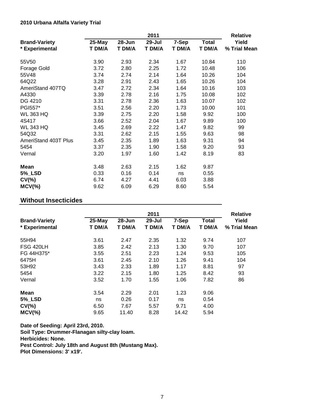|                      |        |        | 2011   |        |              | <b>Relative</b> |
|----------------------|--------|--------|--------|--------|--------------|-----------------|
| <b>Brand-Variety</b> | 25-May | 28-Jun | 29-Jul | 7-Sep  | <b>Total</b> | Yield           |
| * Experimental       | T DM/A | T DM/A | T DM/A | T DM/A | T DM/A       | % Trial Mean    |
| 55V50                | 3.90   | 2.93   | 2.34   | 1.67   | 10.84        | 110             |
| Forage Gold          | 3.72   | 2.80   | 2.25   | 1.72   | 10.48        | 106             |
| 55V48                | 3.74   | 2.74   | 2.14   | 1.64   | 10.26        | 104             |
| 64Q22                | 3.28   | 2.91   | 2.43   | 1.65   | 10.26        | 104             |
| AmeriStand 407TQ     | 3.47   | 2.72   | 2.34   | 1.64   | 10.16        | 103             |
| A4330                | 3.39   | 2.78   | 2.16   | 1.75   | 10.08        | 102             |
| DG 4210              | 3.31   | 2.78   | 2.36   | 1.63   | 10.07        | 102             |
| PGI557*              | 3.51   | 2.56   | 2.20   | 1.73   | 10.00        | 101             |
| <b>WL 363 HQ</b>     | 3.39   | 2.75   | 2.20   | 1.58   | 9.92         | 100             |
| 4S417                | 3.66   | 2.52   | 2.04   | 1.67   | 9.89         | 100             |
| <b>WL 343 HQ</b>     | 3.45   | 2.69   | 2.22   | 1.47   | 9.82         | 99              |
| 54Q32                | 3.31   | 2.62   | 2.15   | 1.55   | 9.63         | 98              |
| AmeriStand 403T Plus | 3.45   | 2.35   | 1.89   | 1.63   | 9.31         | 94              |
| 5454                 | 3.37   | 2.35   | 1.90   | 1.58   | 9.20         | 93              |
| Vernal               | 3.20   | 1.97   | 1.60   | 1.42   | 8.19         | 83              |
| Mean                 | 3.48   | 2.63   | 2.15   | 1.62   | 9.87         |                 |
| <b>5%_LSD</b>        | 0.33   | 0.16   | 0.14   | ns     | 0.55         |                 |
| $CV(\% )$            | 6.74   | 4.27   | 4.41   | 6.03   | 3.88         |                 |
| $MCV(\%)$            | 9.62   | 6.09   | 6.29   | 8.60   | 5.54         |                 |

### **Without Insecticides**

|                                        |                  |                      | 2011                 |                 |                        | <b>Relative</b>       |
|----------------------------------------|------------------|----------------------|----------------------|-----------------|------------------------|-----------------------|
| <b>Brand-Variety</b><br>* Experimental | 25-May<br>T DM/A | $28 - Jun$<br>T DM/A | $29 -$ Jul<br>T DM/A | 7-Sep<br>T DM/A | <b>Total</b><br>T DM/A | Yield<br>% Trial Mean |
| 55H94                                  | 3.61             | 2.47                 | 2.35                 | 1.32            | 9.74                   | 107                   |
| <b>FSG 420LH</b>                       | 3.85             | 2.42                 | 2.13                 | 1.30            | 9.70                   | 107                   |
| FG 44H375*                             | 3.55             | 2.51                 | 2.23                 | 1.24            | 9.53                   | 105                   |
| 6475H                                  | 3.61             | 2.45                 | 2.10                 | 1.26            | 9.41                   | 104                   |
| 53H92                                  | 3.43             | 2.33                 | 1.89                 | 1.17            | 8.81                   | 97                    |
| 5454                                   | 3.22             | 2.15                 | 1.80                 | 1.25            | 8.42                   | 93                    |
| Vernal                                 | 3.52             | 1.70                 | 1.55                 | 1.06            | 7.82                   | 86                    |
| Mean                                   | 3.54             | 2.29                 | 2.01                 | 1.23            | 9.06                   |                       |
| <b>5%_LSD</b>                          | ns               | 0.26                 | 0.17                 | ns              | 0.54                   |                       |
| $CV(\% )$                              | 6.50             | 7.67                 | 5.57                 | 9.71            | 4.00                   |                       |
| $MCV$ (%)                              | 9.65             | 11.40                | 8.28                 | 14.42           | 5.94                   |                       |

**Date of Seeding: April 23rd, 2010. Soil Type: Drummer-Flanagan silty-clay loam. Herbicides: None. Pest Control: July 18th and August 8th (Mustang Max). Plot Dimensions: 3' x19'.**